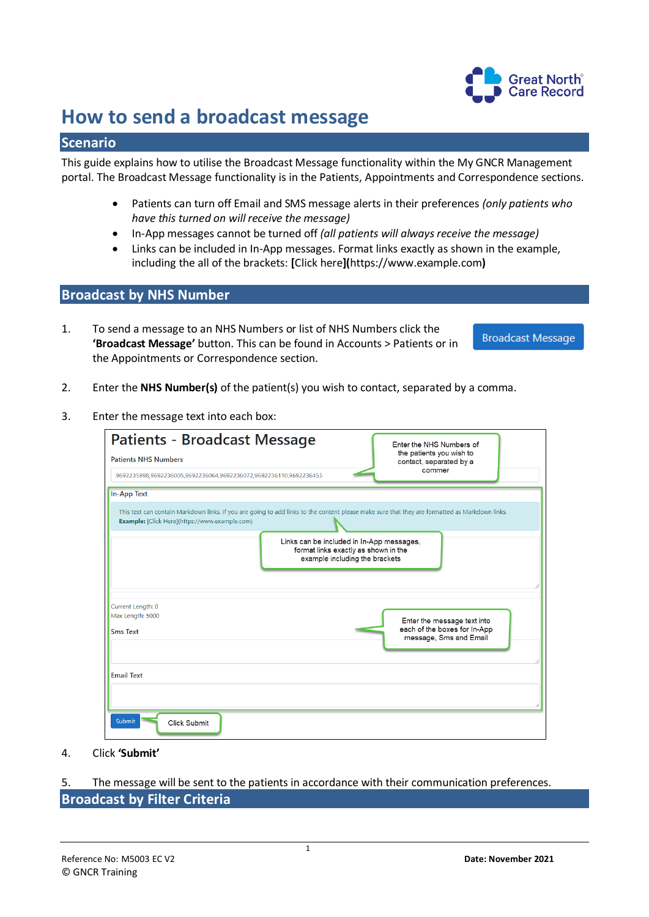

# **How to send a broadcast message**

### **Scenario**

This guide explains how to utilise the Broadcast Message functionality within the My GNCR Management portal. The Broadcast Message functionality is in the Patients, Appointments and Correspondence sections.

- Patients can turn off Email and SMS message alerts in their preferences *(only patients who have this turned on will receive the message)*
- In-App messages cannot be turned off *(all patients will always receive the message)*
- Links can be included in In-App messages. Format links exactly as shown in the example, including the all of the brackets: **[**Click here**](**https://www.example.com**)**

#### **Broadcast by NHS Number**

1. To send a message to an NHS Numbers or list of NHS Numbers click the **'Broadcast Message'** button. This can be found in Accounts > Patients or in the Appointments or Correspondence section.

**Broadcast Message** 

- 2. Enter the **NHS Number(s)** of the patient(s) you wish to contact, separated by a comma.
- 3. Enter the message text into each box:

| <b>Patients - Broadcast Message</b><br><b>Patients NHS Numbers</b>                                                                                                                               | Enter the NHS Numbers of<br>the patients you wish to<br>contact, separated by a       |
|--------------------------------------------------------------------------------------------------------------------------------------------------------------------------------------------------|---------------------------------------------------------------------------------------|
| 9692235998,9692236005,9692236064,9692236072,9692236110,9692236455                                                                                                                                | commer                                                                                |
| <b>In-App Text</b>                                                                                                                                                                               |                                                                                       |
| This text can contain Markdown links. If you are going to add links to the content please make sure that they are formatted as Markdown links.<br>Example: [Click Here](https://www.example.com) |                                                                                       |
| Links can be included in In-App messages,<br>format links exactly as shown in the<br>example including the brackets                                                                              |                                                                                       |
| Current Length: 0<br>Max Length: 5000                                                                                                                                                            |                                                                                       |
| <b>Sms Text</b>                                                                                                                                                                                  | Enter the message text into<br>each of the boxes for In-App<br>message, Sms and Email |
| <b>Email Text</b>                                                                                                                                                                                |                                                                                       |
| Submit<br>Click Submit                                                                                                                                                                           |                                                                                       |

4. Click **'Submit'**

5. The message will be sent to the patients in accordance with their communication preferences. **Broadcast by Filter Criteria**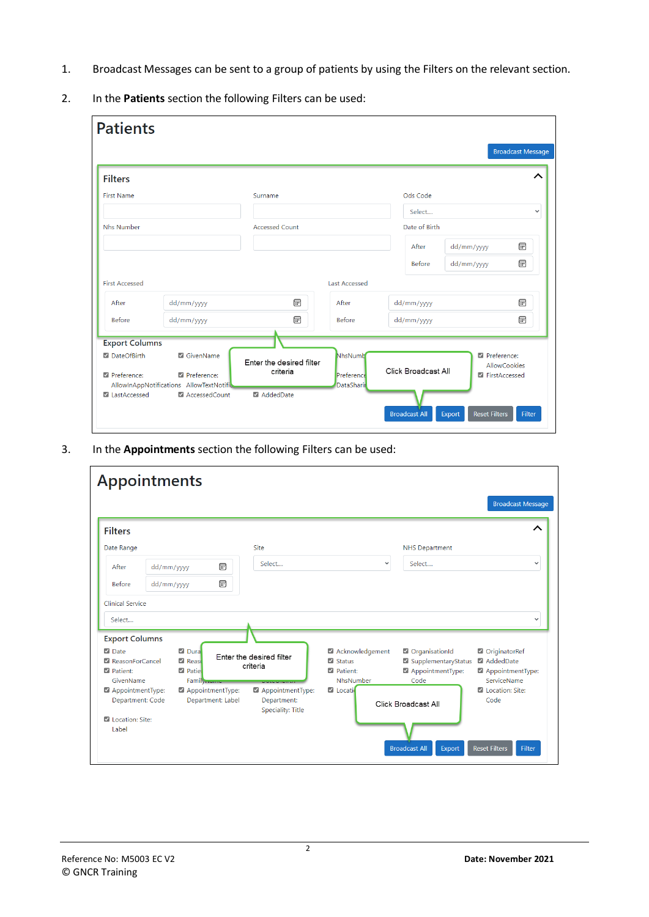- 1. Broadcast Messages can be sent to a group of patients by using the Filters on the relevant section.
- 2. In the **Patients** section the following Filters can be used:

| <b>Patients</b>       |                                                         |                                      |                                 |                      |                                |                          |
|-----------------------|---------------------------------------------------------|--------------------------------------|---------------------------------|----------------------|--------------------------------|--------------------------|
|                       |                                                         |                                      |                                 |                      |                                | <b>Broadcast Message</b> |
| <b>Filters</b>        |                                                         |                                      |                                 |                      |                                |                          |
| <b>First Name</b>     |                                                         | Surname                              |                                 | Ods Code             |                                |                          |
|                       |                                                         |                                      |                                 | Select               |                                | $\checkmark$             |
| <b>Nhs Number</b>     |                                                         | <b>Accessed Count</b>                |                                 | Date of Birth        |                                |                          |
|                       |                                                         |                                      |                                 | After                | dd/mm/yyyy                     | ⊞                        |
|                       |                                                         |                                      |                                 | <b>Before</b>        | dd/mm/yyyy                     | ⊞                        |
| <b>First Accessed</b> |                                                         |                                      | <b>Last Accessed</b>            |                      |                                |                          |
| After                 | dd/mm/yyyy                                              | 同                                    | After                           | dd/mm/yyyy           |                                | ⊟                        |
| Before                | dd/mm/yyyy                                              | 同                                    | <b>Before</b>                   | dd/mm/yyyy           |                                | ⊟                        |
| <b>Export Columns</b> |                                                         |                                      |                                 |                      |                                |                          |
| <b>Z</b> DateOfBirth  | GivenName                                               | Enter the desired filter<br>criteria | NhsNumb                         | Click Broadcast All  | Preference:                    | <b>AllowCookies</b>      |
| Preference:           | Preference:<br>AllowInAppNotifications AllowTextNotific |                                      | Preference<br><b>DataSharir</b> |                      | <b>Z</b> FirstAccessed         |                          |
| LastAccessed          | AccessedCount                                           | AddedDate                            |                                 | <b>Broadcast All</b> | <b>Reset Filters</b><br>Export | Filter                   |

3. In the **Appointments** section the following Filters can be used:

| <b>Appointments</b>                                                                         |            |                                                                           |                                                             |                                                                    |                                                                   | <b>Broadcast Message</b>                                      |
|---------------------------------------------------------------------------------------------|------------|---------------------------------------------------------------------------|-------------------------------------------------------------|--------------------------------------------------------------------|-------------------------------------------------------------------|---------------------------------------------------------------|
| <b>Filters</b>                                                                              |            |                                                                           |                                                             |                                                                    |                                                                   | ᄉ                                                             |
| Date Range                                                                                  |            |                                                                           | Site                                                        |                                                                    | <b>NHS Department</b>                                             |                                                               |
| After                                                                                       | dd/mm/yyyy | $\boxdot$                                                                 | Select                                                      | $\checkmark$                                                       | Select                                                            | $\checkmark$                                                  |
| Before                                                                                      | dd/mm/yyyy | 霝                                                                         |                                                             |                                                                    |                                                                   |                                                               |
| <b>Clinical Service</b>                                                                     |            |                                                                           |                                                             |                                                                    |                                                                   |                                                               |
| Select                                                                                      |            |                                                                           |                                                             |                                                                    |                                                                   | $\checkmark$                                                  |
| <b>Export Columns</b><br><b>Z</b> Date<br>ReasonForCancel<br><b>Z</b> Patient:<br>GivenName |            | <b>Z</b> Dura<br><b>Z</b> Reaso<br><b>Z</b> Patiel<br>Family <sub>1</sub> | Enter the desired filter<br>criteria<br><b>DOCUMENT</b>     | Acknowledgement<br>$\triangledown$ Status<br>Patient:<br>NhsNumber | OrganisationId<br>SupplementaryStatus<br>AppointmentType:<br>Code | OriginatorRef<br>AddedDate<br>AppointmentType:<br>ServiceName |
| AppointmentType:<br>Department: Code<br>Location: Site:<br>Label                            |            | AppointmentType:<br>Department: Label                                     | AppointmentType:<br>Department:<br><b>Speciality: Title</b> | Locati                                                             | Click Broadcast All<br><b>Broadcast All</b><br>Export             | I Location: Site:<br>Code<br><b>Reset Filters</b><br>Filter   |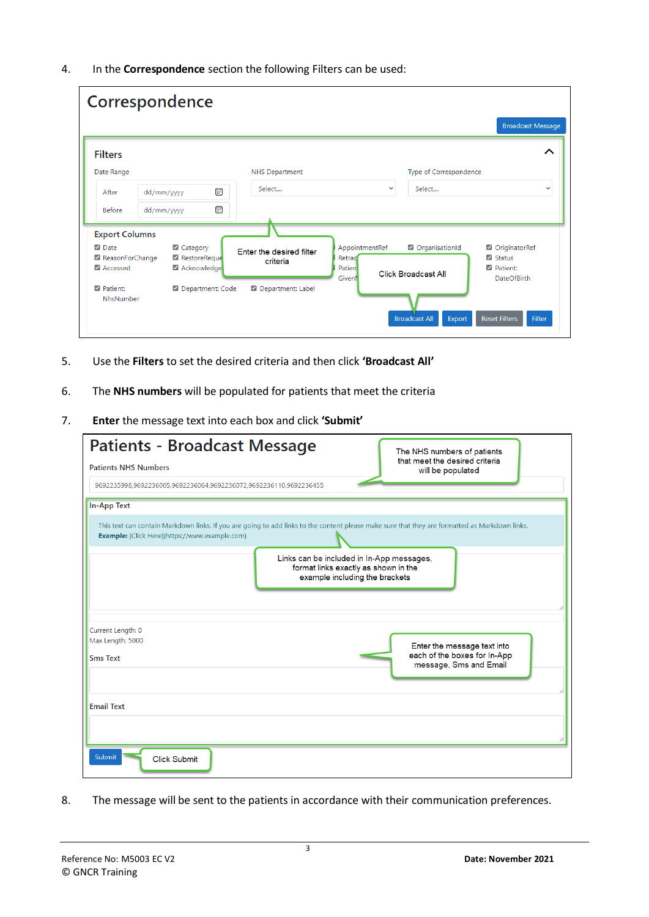4. In the **Correspondence** section the following Filters can be used:

|                                              |            | Correspondence                          |                                      |                                                    |                                       | <b>Broadcast Message</b>                                                 |
|----------------------------------------------|------------|-----------------------------------------|--------------------------------------|----------------------------------------------------|---------------------------------------|--------------------------------------------------------------------------|
| <b>Filters</b>                               |            |                                         |                                      |                                                    |                                       | ᄉ                                                                        |
| Date Range                                   |            |                                         | <b>NHS Department</b>                |                                                    | Type of Correspondence                |                                                                          |
| After                                        | dd/mm/yyyy |                                         | Select<br>同                          | $\checkmark$                                       | Select                                | $\checkmark$                                                             |
| <b>Before</b>                                | dd/mm/yyyy |                                         | $\boxdot$                            |                                                    |                                       |                                                                          |
| <b>Export Columns</b>                        |            |                                         |                                      |                                                    |                                       |                                                                          |
| <b>Z</b> Date<br>ReasonForChange<br>Accessed |            | Category<br>RestoreReque<br>Acknowledge | Enter the desired filter<br>criteria | AppointmentRef<br>Retrad<br><b>Patien</b><br>Given | OrganisationId<br>Click Broadcast All | OriginatorRef<br>$\blacksquare$ Status<br>Patient:<br><b>DateOfBirth</b> |
| Patient:<br>NhsNumber                        |            | Department: Code                        | Department: Label                    |                                                    | <b>Broadcast All</b><br>Export        | <b>Reset Filters</b><br>Filter                                           |

- 5. Use the **Filters** to set the desired criteria and then click **'Broadcast All'**
- 6. The **NHS numbers** will be populated for patients that meet the criteria
- 7. **Enter** the message text into each box and click **'Submit'**

| <b>Patients - Broadcast Message</b>                                                                                                                                                              | The NHS numbers of patients                                                           |
|--------------------------------------------------------------------------------------------------------------------------------------------------------------------------------------------------|---------------------------------------------------------------------------------------|
| <b>Patients NHS Numbers</b>                                                                                                                                                                      | that meet the desired criteria<br>will be populated                                   |
| 9692235998,9692236005,9692236064,9692236072,9692236110,9692236455                                                                                                                                |                                                                                       |
| <b>In-App Text</b>                                                                                                                                                                               |                                                                                       |
| This text can contain Markdown links. If you are going to add links to the content please make sure that they are formatted as Markdown links.<br>Example: [Click Here](https://www.example.com) |                                                                                       |
| Links can be included in In-App messages,<br>format links exactly as shown in the<br>example including the brackets                                                                              |                                                                                       |
| Current Length: 0<br>Max Length: 5000<br><b>Sms Text</b>                                                                                                                                         | Enter the message text into<br>each of the boxes for In-App<br>message, Sms and Email |
| <b>Email Text</b>                                                                                                                                                                                |                                                                                       |
| <b>Submit</b><br>Click Submit                                                                                                                                                                    |                                                                                       |

8. The message will be sent to the patients in accordance with their communication preferences.